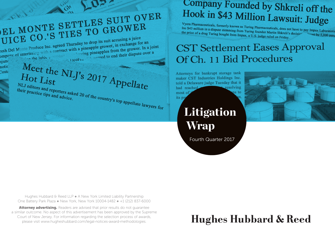

#### Hughes Hubbard & Reed LLP . A New York Limited Liability Partnership One Battery Park Plaza ● New York, New York 10004-1482 ● +1 (212) 837-6000

Attorney advertising. Readers are advised that prior results do not quarantee a similar outcome. No aspect of this advertisement has been approved by the Supreme Court of New Jersey. For information regarding the selection process of awards, please visit www.hugheshubbard.com/legal-notices-award-methodologies.

### Company Founded by Shkreli off the Hook in \$43 Million Lawsuit: Judge

Vyera Pharmaceuticals, formerly known as Turing Pharmaceuticals, does not have to pay Impax Laboratoric<br>Inc \$43 million in a dispute stemming from Turing founder Martin Shkreli's decision pay Impax Laboratoric<br>the price of Inc \$43 million in a dispute stemming from Turing Pharmaceuticals, does not have to pay Impax Laboratoric<br>the price of a drug Turing bought from Impax, a U.S. judge ruled on Friday. the price of a drug Turing bought from Impax, a U.S. judge ruled on Friday.

### **CST Settlement Eases Approval** Of Ch. 11 Bid Procedures

Attorneys for bankrupt storage tank maker CST Industries Holdings Inc. told a Delaware judge Tuesday that it resolving is to

> Litigation Wrap

Fourth Quarter 2017



# **Hughes Hubbard & Reed**